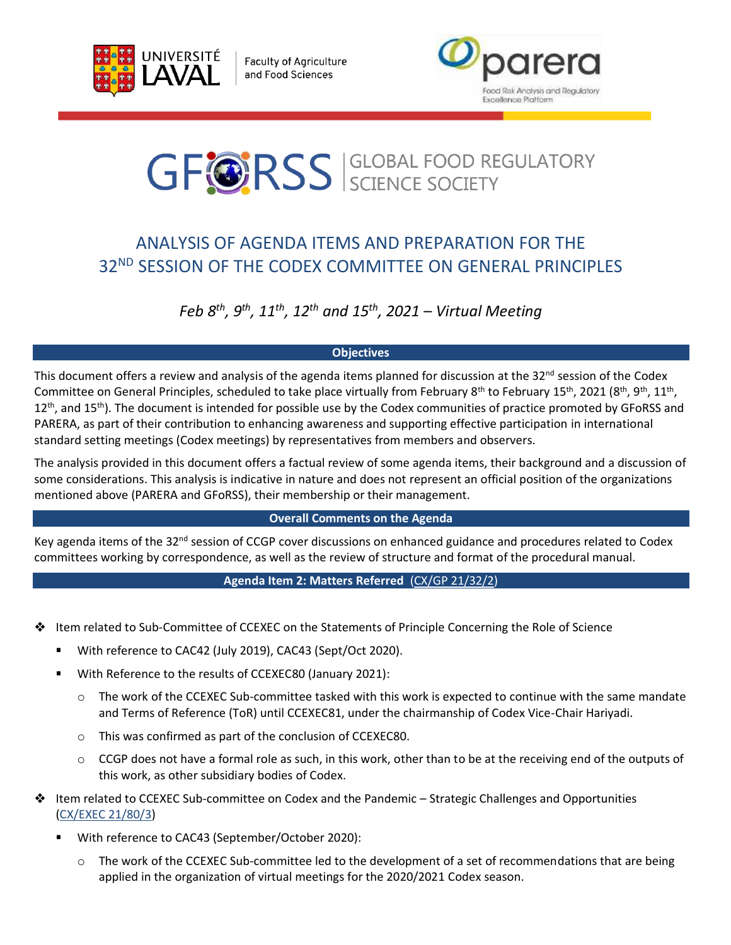

**Faculty of Agriculture** and Food Sciences



# **GFORSS** SCIENCE SOCIETY

# ANALYSIS OF AGENDA ITEMS AND PREPARATION FOR THE 32ND SESSION OF THE CODEX COMMITTEE ON GENERAL PRINCIPLES

# *Feb 8th, 9th, 11th, 12th and 15th , 2021 – Virtual Meeting*

# **Objectives**

This document offers a review and analysis of the agenda items planned for discussion at the 32<sup>nd</sup> session of the Codex Committee on General Principles, scheduled to take place virtually from February 8<sup>th</sup> to February 15<sup>th</sup>, 2021 (8<sup>th</sup>, 9<sup>th</sup>, 11<sup>th</sup>,  $12<sup>th</sup>$ , and  $15<sup>th</sup>$ ). The document is intended for possible use by the Codex communities of practice promoted by GFoRSS and PARERA, as part of their contribution to enhancing awareness and supporting effective participation in international standard setting meetings (Codex meetings) by representatives from members and observers.

The analysis provided in this document offers a factual review of some agenda items, their background and a discussion of some considerations. This analysis is indicative in nature and does not represent an official position of the organizations mentioned above (PARERA and GFoRSS), their membership or their management.

# **Overall Comments on the Agenda**

Key agenda items of the 32<sup>nd</sup> session of CCGP cover discussions on enhanced guidance and procedures related to Codex committees working by correspondence, as well as the review of structure and format of the procedural manual.

# **Agenda Item 2: Matters Referred** [\(CX/GP 21/32/2\)](http://www.fao.org/fao-who-codexalimentarius/sh-proxy/en/?lnk=1&url=https%253A%252F%252Fworkspace.fao.org%252Fsites%252Fcodex%252FMeetings%252FCX-716-32%252FWD%252Fgp32_02e.pdf)

- Item related to Sub-Committee of CCEXEC on the Statements of Principle Concerning the Role of Science ❖
	- With reference to CAC42 (July 2019), CAC43 (Sept/Oct 2020).
	- $\blacksquare$ With Reference to the results of CCEXEC80 (January 2021):
		- $\circ$  The work of the CCEXEC Sub-committee tasked with this work is expected to continue with the same mandate and Terms of Reference (ToR) until CCEXEC81, under the chairmanship of Codex Vice-Chair Hariyadi.
		- o This was confirmed as part of the conclusion of CCEXEC80.
		- $\circ$  CCGP does not have a formal role as such, in this work, other than to be at the receiving end of the outputs of this work, as other subsidiary bodies of Codex.
- Item related to CCEXEC Sub-committee on Codex and the Pandemic Strategic Challenges and Opportunities ❖ [\(CX/EXEC 21/80/3\)](http://www.fao.org/fao-who-codexalimentarius/sh-proxy/en/?lnk=1&url=https%253A%252F%252Fworkspace.fao.org%252Fsites%252Fcodex%252FMeetings%252FCX-702-80%252FWorking%2BDocuments%252Fex80_03e.pdf)
	- With reference to CAC43 (September/October 2020):
		- $\circ$  The work of the CCEXEC Sub-committee led to the development of a set of recommendations that are being applied in the organization of virtual meetings for the 2020/2021 Codex season.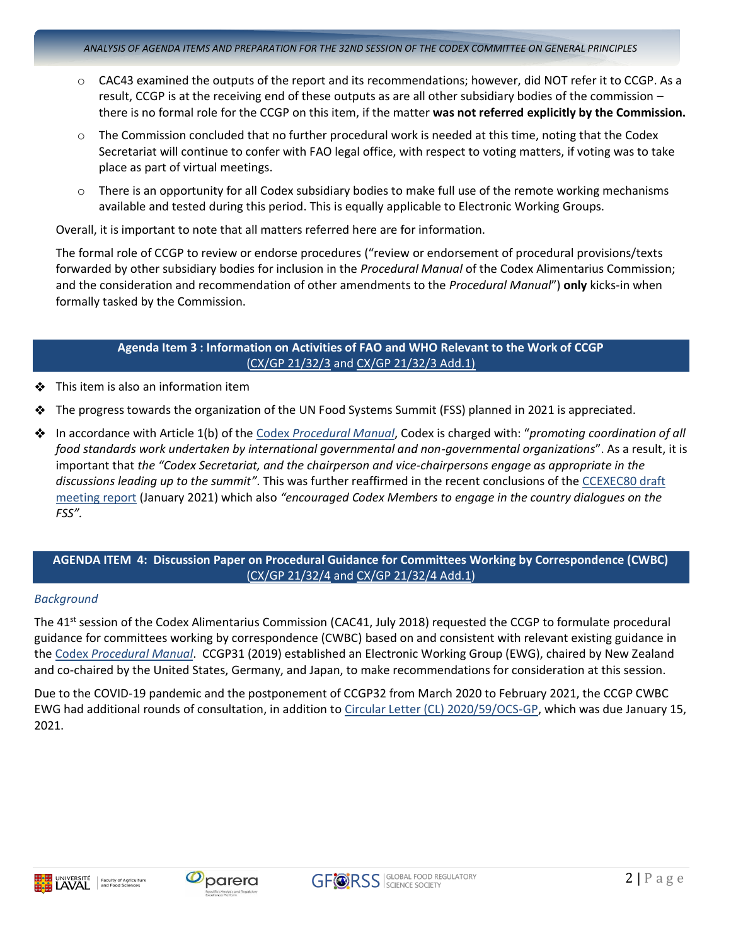- $\circ$  CAC43 examined the outputs of the report and its recommendations; however, did NOT refer it to CCGP. As a result, CCGP is at the receiving end of these outputs as are all other subsidiary bodies of the commission – there is no formal role for the CCGP on this item, if the matter **was not referred explicitly by the Commission.**
- $\circ$  The Commission concluded that no further procedural work is needed at this time, noting that the Codex Secretariat will continue to confer with FAO legal office, with respect to voting matters, if voting was to take place as part of virtual meetings.
- $\circ$  There is an opportunity for all Codex subsidiary bodies to make full use of the remote working mechanisms available and tested during this period. This is equally applicable to Electronic Working Groups.

Overall, it is important to note that all matters referred here are for information.

The formal role of CCGP to review or endorse procedures ("review or endorsement of procedural provisions/texts forwarded by other subsidiary bodies for inclusion in the *Procedural Manual* of the Codex Alimentarius Commission; and the consideration and recommendation of other amendments to the *Procedural Manual*") **only** kicks-in when formally tasked by the Commission.

# **Agenda Item 3 : Information on Activities of FAO and WHO Relevant to the Work of CCGP** [\(CX/GP 21/32/3](http://www.fao.org/fao-who-codexalimentarius/sh-proxy/en/?lnk=1&url=https%253A%252F%252Fworkspace.fao.org%252Fsites%252Fcodex%252FMeetings%252FCX-716-32%252FWD%252Fgp32_03e.pdf) and [CX/GP 21/32/3 Add.1\)](http://www.fao.org/fao-who-codexalimentarius/sh-proxy/en/?lnk=1&url=https%253A%252F%252Fworkspace.fao.org%252Fsites%252Fcodex%252FMeetings%252FCX-716-32%252FWD%252Fgp32_03_Add1e.pdf)

- $\div$  This item is also an information item
- The progress towards the organization of the UN Food Systems Summit (FSS) planned in 2021 is appreciated.
- In accordance with Article 1(b) of the Codex *[Procedural Manual](http://www.fao.org/fao-who-codexalimentarius/sh-proxy/en/?lnk=1&url=https://workspace.fao.org/sites/codex/Shared%20Documents/Publications/Procedural%20Manual/Manual_27/PM27_2019e.pdf)*, Codex is charged with: "*promoting coordination of all food standards work undertaken by international governmental and non-governmental organizations*". As a result, it is important that *the "Codex Secretariat, and the chairperson and vice-chairpersons engage as appropriate in the discussions leading up to the summit"*. This was further reaffirmed in the recent conclusions of the [CCEXEC80 draft](http://www.fao.org/fao-who-codexalimentarius/sh-proxy/en/?lnk=1&url=https%253A%252F%252Fworkspace.fao.org%252Fsites%252Fcodex%252FMeetings%252FCX-702-80%252FReport%252FREP21_EXEC1e_draft.pdf)  [meeting report](http://www.fao.org/fao-who-codexalimentarius/sh-proxy/en/?lnk=1&url=https%253A%252F%252Fworkspace.fao.org%252Fsites%252Fcodex%252FMeetings%252FCX-702-80%252FReport%252FREP21_EXEC1e_draft.pdf) (January 2021) which also *"encouraged Codex Members to engage in the country dialogues on the FSS".*

# **AGENDA ITEM 4: Discussion Paper on Procedural Guidance for Committees Working by Correspondence (CWBC)**  [\(CX/GP 21/32/4](http://www.fao.org/fao-who-codexalimentarius/sh-proxy/en/?lnk=1&url=https%253A%252F%252Fworkspace.fao.org%252Fsites%252Fcodex%252FMeetings%252FCX-716-32%252FWD%252Fgp32_04e.pdf) and [CX/GP 21/32/4 Add.1\)](http://www.fao.org/fao-who-codexalimentarius/sh-proxy/en/?lnk=1&url=https%253A%252F%252Fworkspace.fao.org%252Fsites%252Fcodex%252FMeetings%252FCX-716-32%252FWD%252Fgp32_04_Add1e.pdf)

#### *Background*

The 41<sup>st</sup> session of the Codex Alimentarius Commission (CAC41, July 2018) requested the CCGP to formulate procedural guidance for committees working by correspondence (CWBC) based on and consistent with relevant existing guidance in the Codex *[Procedural Manual](http://www.fao.org/fao-who-codexalimentarius/sh-proxy/en/?lnk=1&url=https://workspace.fao.org/sites/codex/Shared%20Documents/Publications/Procedural%20Manual/Manual_27/PM27_2019e.pdf)*. CCGP31 (2019) established an Electronic Working Group (EWG), chaired by New Zealand and co-chaired by the United States, Germany, and Japan, to make recommendations for consideration at this session.

Due to the COVID-19 pandemic and the postponement of CCGP32 from March 2020 to February 2021, the CCGP CWBC EWG had additional rounds of consultation, in addition t[o Circular Letter \(CL\) 2020/59/OCS-GP,](http://www.fao.org/fao-who-codexalimentarius/sh-proxy/en/?lnk=1&url=https%253A%252F%252Fworkspace.fao.org%252Fsites%252Fcodex%252FCircular%252520Letters%252FCL%2525202020-59-OCS%252Fcl20_59e.pdf) which was due January 15, 2021.



**Faculty of Agriculture**<br>and Food Sciences





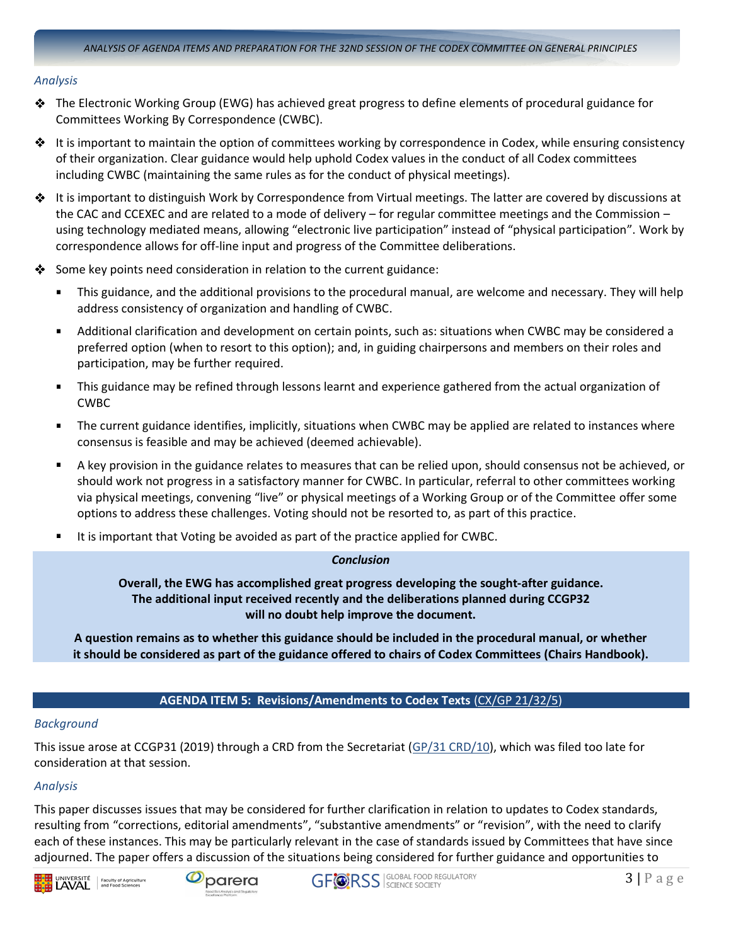#### *Analysis*

- $\clubsuit$  The Electronic Working Group (EWG) has achieved great progress to define elements of procedural guidance for Committees Working By Correspondence (CWBC).
- $\clubsuit$  It is important to maintain the option of committees working by correspondence in Codex, while ensuring consistency of their organization. Clear guidance would help uphold Codex values in the conduct of all Codex committees including CWBC (maintaining the same rules as for the conduct of physical meetings).
- $\clubsuit$  It is important to distinguish Work by Correspondence from Virtual meetings. The latter are covered by discussions at the CAC and CCEXEC and are related to a mode of delivery – for regular committee meetings and the Commission – using technology mediated means, allowing "electronic live participation" instead of "physical participation". Work by correspondence allows for off-line input and progress of the Committee deliberations.
- ❖ Some key points need consideration in relation to the current guidance:
	- This guidance, and the additional provisions to the procedural manual, are welcome and necessary. They will help address consistency of organization and handling of CWBC.
	- Additional clarification and development on certain points, such as: situations when CWBC may be considered a  $\blacksquare$ preferred option (when to resort to this option); and, in guiding chairpersons and members on their roles and participation, may be further required.
	- $\blacksquare$ This guidance may be refined through lessons learnt and experience gathered from the actual organization of CWBC
	- The current guidance identifies, implicitly, situations when CWBC may be applied are related to instances where  $\blacksquare$ consensus is feasible and may be achieved (deemed achievable).
	- A key provision in the guidance relates to measures that can be relied upon, should consensus not be achieved, or should work not progress in a satisfactory manner for CWBC. In particular, referral to other committees working via physical meetings, convening "live" or physical meetings of a Working Group or of the Committee offer some options to address these challenges. Voting should not be resorted to, as part of this practice.
	- It is important that Voting be avoided as part of the practice applied for CWBC.

# *Conclusion*

**Overall, the EWG has accomplished great progress developing the sought-after guidance. The additional input received recently and the deliberations planned during CCGP32 will no doubt help improve the document.** 

**A question remains as to whether this guidance should be included in the procedural manual, or whether it should be considered as part of the guidance offered to chairs of Codex Committees (Chairs Handbook).**

# **AGENDA ITEM 5: Revisions/Amendments to Codex Texts** [\(CX/GP 21/32/5\)](http://www.fao.org/fao-who-codexalimentarius/sh-proxy/en/?lnk=1&url=https%253A%252F%252Fworkspace.fao.org%252Fsites%252Fcodex%252FMeetings%252FCX-716-32%252FWD%252Fgp32_05e.pdf)

#### *Background*

This issue arose at CCGP31 (2019) through a CRD from the Secretariat [\(GP/31 CRD/10\)](http://www.fao.org/fao-who-codexalimentarius/sh-proxy/en/?lnk=1&url=https%253A%252F%252Fworkspace.fao.org%252Fsites%252Fcodex%252FMeetings%252FCX-716-31%252FCRDs%252Fgp31_CRD_10x.pdf), which was filed too late for consideration at that session.

# *Analysis*

This paper discusses issues that may be considered for further clarification in relation to updates to Codex standards, resulting from "corrections, editorial amendments", "substantive amendments" or "revision", with the need to clarify each of these instances. This may be particularly relevant in the case of standards issued by Committees that have since adjourned. The paper offers a discussion of the situations being considered for further guidance and opportunities to





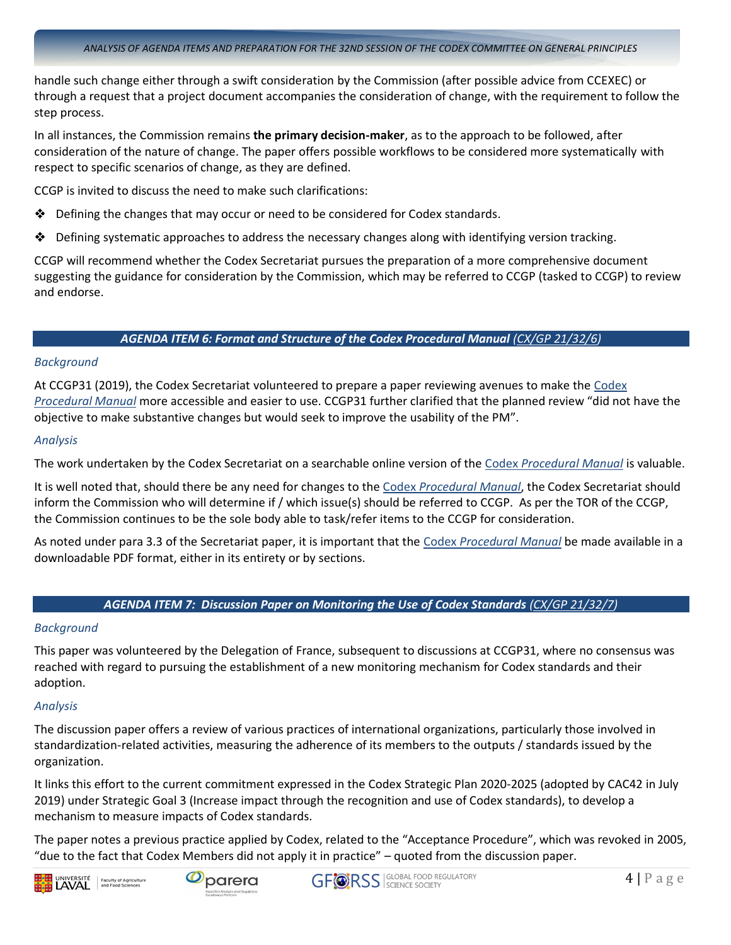handle such change either through a swift consideration by the Commission (after possible advice from CCEXEC) or through a request that a project document accompanies the consideration of change, with the requirement to follow the step process.

In all instances, the Commission remains **the primary decision-maker**, as to the approach to be followed, after consideration of the nature of change. The paper offers possible workflows to be considered more systematically with respect to specific scenarios of change, as they are defined.

CCGP is invited to discuss the need to make such clarifications:

- $\triangle$  Defining the changes that may occur or need to be considered for Codex standards.
- Defining systematic approaches to address the necessary changes along with identifying version tracking. ❖

CCGP will recommend whether the Codex Secretariat pursues the preparation of a more comprehensive document suggesting the guidance for consideration by the Commission, which may be referred to CCGP (tasked to CCGP) to review and endorse.

# *AGENDA ITEM 6: Format and Structure of the Codex Procedural Manual [\(CX/GP 21/32/6\)](http://www.fao.org/fao-who-codexalimentarius/sh-proxy/en/?lnk=1&url=https%253A%252F%252Fworkspace.fao.org%252Fsites%252Fcodex%252FMeetings%252FCX-716-32%252FWD%252Fgp32_06e.pdf)*

#### *Background*

At CCGP31 (2019), the Codex Secretariat volunteered to prepare a paper reviewing avenues to make the [Codex](http://www.fao.org/fao-who-codexalimentarius/sh-proxy/en/?lnk=1&url=https://workspace.fao.org/sites/codex/Shared%20Documents/Publications/Procedural%20Manual/Manual_27/PM27_2019e.pdf)  *[Procedural Manual](http://www.fao.org/fao-who-codexalimentarius/sh-proxy/en/?lnk=1&url=https://workspace.fao.org/sites/codex/Shared%20Documents/Publications/Procedural%20Manual/Manual_27/PM27_2019e.pdf)* more accessible and easier to use. CCGP31 further clarified that the planned review "did not have the objective to make substantive changes but would seek to improve the usability of the PM".

# *Analysis*

The work undertaken by the Codex Secretariat on a searchable online version of the Codex *[Procedural Manual](http://www.fao.org/fao-who-codexalimentarius/sh-proxy/en/?lnk=1&url=https://workspace.fao.org/sites/codex/Shared%20Documents/Publications/Procedural%20Manual/Manual_27/PM27_2019e.pdf)* is valuable.

It is well noted that, should there be any need for changes to the Codex *[Procedural Manual](http://www.fao.org/fao-who-codexalimentarius/sh-proxy/en/?lnk=1&url=https://workspace.fao.org/sites/codex/Shared%20Documents/Publications/Procedural%20Manual/Manual_27/PM27_2019e.pdf)*, the Codex Secretariat should inform the Commission who will determine if / which issue(s) should be referred to CCGP. As per the TOR of the CCGP, the Commission continues to be the sole body able to task/refer items to the CCGP for consideration.

As noted under para 3.3 of the Secretariat paper, it is important that the Codex *[Procedural Manual](http://www.fao.org/fao-who-codexalimentarius/sh-proxy/en/?lnk=1&url=https://workspace.fao.org/sites/codex/Shared%20Documents/Publications/Procedural%20Manual/Manual_27/PM27_2019e.pdf)* be made available in a downloadable PDF format, either in its entirety or by sections.

# *AGENDA ITEM 7: Discussion Paper on Monitoring the Use of Codex Standards [\(CX/GP 21/32/7\)](http://www.fao.org/fao-who-codexalimentarius/sh-proxy/en/?lnk=1&url=https%253A%252F%252Fworkspace.fao.org%252Fsites%252Fcodex%252FMeetings%252FCX-716-32%252FWD%252Fgp32_07e.pdf)*

# *Background*

This paper was volunteered by the Delegation of France, subsequent to discussions at CCGP31, where no consensus was reached with regard to pursuing the establishment of a new monitoring mechanism for Codex standards and their adoption.

# *Analysis*

The discussion paper offers a review of various practices of international organizations, particularly those involved in standardization-related activities, measuring the adherence of its members to the outputs / standards issued by the organization.

It links this effort to the current commitment expressed in the Codex Strategic Plan 2020-2025 (adopted by CAC42 in July 2019) under Strategic Goal 3 (Increase impact through the recognition and use of Codex standards), to develop a mechanism to measure impacts of Codex standards.

The paper notes a previous practice applied by Codex, related to the "Acceptance Procedure", which was revoked in 2005, "due to the fact that Codex Members did not apply it in practice" – quoted from the discussion paper.